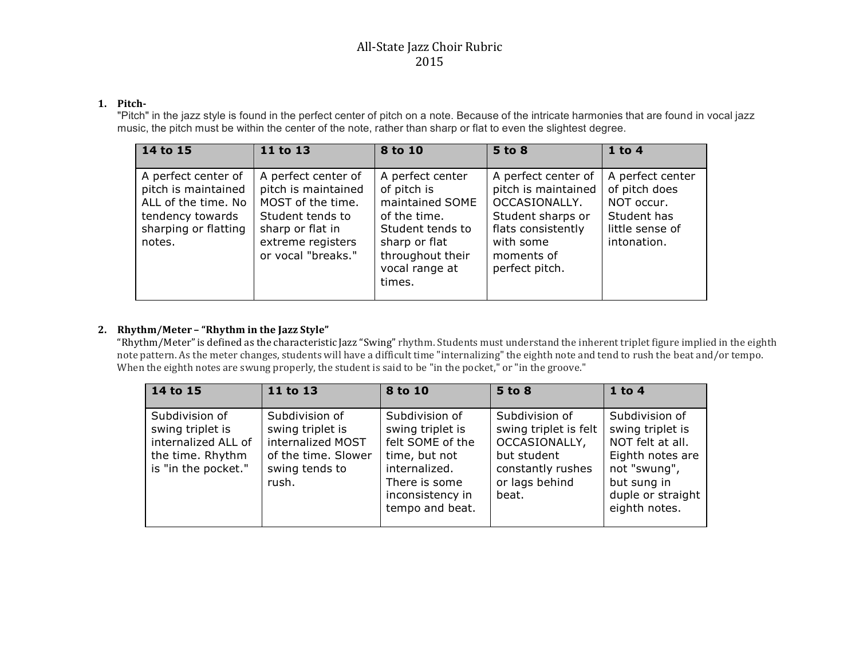# All-State Jazz Choir Rubric 2015

### **1. Pitch-**

"Pitch" in the jazz style is found in the perfect center of pitch on a note. Because of the intricate harmonies that are found in vocal jazz music, the pitch must be within the center of the note, rather than sharp or flat to even the slightest degree.

| 14 to 15                                                                                                                | 11 to 13                                                                                                                                           | 8 to 10                                                                                                                                                 | 5 to 8                                                                                                                                              | $1$ to 4                                                                                         |
|-------------------------------------------------------------------------------------------------------------------------|----------------------------------------------------------------------------------------------------------------------------------------------------|---------------------------------------------------------------------------------------------------------------------------------------------------------|-----------------------------------------------------------------------------------------------------------------------------------------------------|--------------------------------------------------------------------------------------------------|
| A perfect center of<br>pitch is maintained<br>ALL of the time. No<br>tendency towards<br>sharping or flatting<br>notes. | A perfect center of<br>pitch is maintained<br>MOST of the time.<br>Student tends to<br>sharp or flat in<br>extreme registers<br>or vocal "breaks." | A perfect center<br>of pitch is<br>maintained SOME<br>of the time.<br>Student tends to<br>sharp or flat<br>throughout their<br>vocal range at<br>times. | A perfect center of<br>pitch is maintained<br>OCCASIONALLY.<br>Student sharps or<br>flats consistently<br>with some<br>moments of<br>perfect pitch. | A perfect center<br>of pitch does<br>NOT occur.<br>Student has<br>little sense of<br>intonation. |

## **2. Rhythm/Meter – "Rhythm in the Jazz Style"**

"Rhythm/Meter"is defined as the characteristic Jazz "Swing" rhythm. Students must understand the inherent triplet figure implied in the eighth note pattern. As the meter changes, students will have a difficult time "internalizing" the eighth note and tend to rush the beat and/or tempo. When the eighth notes are swung properly, the student is said to be "in the pocket," or "in the groove."

| 14 to 15                                                                                             | 11 to 13                                                                                                  | 8 to 10                                                                                                                                          | 5 to 8                                                                                                                  | $1$ to $4$                                                                                                                                      |
|------------------------------------------------------------------------------------------------------|-----------------------------------------------------------------------------------------------------------|--------------------------------------------------------------------------------------------------------------------------------------------------|-------------------------------------------------------------------------------------------------------------------------|-------------------------------------------------------------------------------------------------------------------------------------------------|
| Subdivision of<br>swing triplet is<br>internalized ALL of<br>the time. Rhythm<br>is "in the pocket." | Subdivision of<br>swing triplet is<br>internalized MOST<br>of the time. Slower<br>swing tends to<br>rush. | Subdivision of<br>swing triplet is<br>felt SOME of the<br>time, but not<br>internalized.<br>There is some<br>inconsistency in<br>tempo and beat. | Subdivision of<br>swing triplet is felt<br>OCCASIONALLY,<br>but student<br>constantly rushes<br>or lags behind<br>beat. | Subdivision of<br>swing triplet is<br>NOT felt at all.<br>Eighth notes are<br>not "swung",<br>but sung in<br>duple or straight<br>eighth notes. |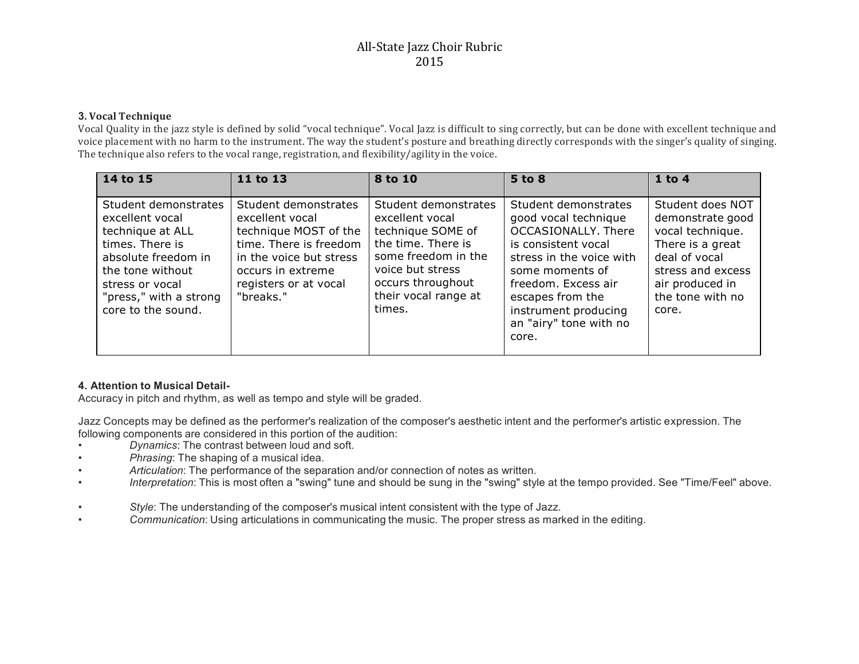# All-State Jazz Choir Rubric 2015

#### **3. Vocal Technique**

Vocal Quality in the jazz style is defined by solid "vocal technique". Vocal Jazz is difficult to sing correctly, but can be done with excellent technique and voice placement with no harm to the instrument. The way the student's posture and breathing directly corresponds with the singer's quality of singing. The technique also refers to the vocal range, registration, and flexibility/agility in the voice.

| $\overline{14}$ to 15                                                                                                                                                                        | 11 to 13                                                                                                                                                                         | 8 to 10                                                                                                                                                                              | 5 to 8                                                                                                                                                                                                                                          | $1$ to 4                                                                                                                                                           |
|----------------------------------------------------------------------------------------------------------------------------------------------------------------------------------------------|----------------------------------------------------------------------------------------------------------------------------------------------------------------------------------|--------------------------------------------------------------------------------------------------------------------------------------------------------------------------------------|-------------------------------------------------------------------------------------------------------------------------------------------------------------------------------------------------------------------------------------------------|--------------------------------------------------------------------------------------------------------------------------------------------------------------------|
| Student demonstrates<br>excellent vocal<br>technique at ALL<br>times. There is<br>absolute freedom in<br>the tone without<br>stress or vocal<br>"press," with a strong<br>core to the sound. | Student demonstrates<br>excellent vocal<br>technique MOST of the<br>time. There is freedom<br>in the voice but stress<br>occurs in extreme<br>registers or at vocal<br>"breaks." | Student demonstrates<br>excellent vocal<br>technique SOME of<br>the time. There is<br>some freedom in the<br>voice but stress<br>occurs throughout<br>their vocal range at<br>times. | Student demonstrates<br>good vocal technique<br>OCCASIONALLY. There<br>is consistent vocal<br>stress in the voice with<br>some moments of<br>freedom. Excess air<br>escapes from the<br>instrument producing<br>an "airy" tone with no<br>core. | Student does NOT<br>demonstrate good<br>vocal technique.<br>There is a great<br>deal of vocal<br>stress and excess<br>air produced in<br>the tone with no<br>core. |

### **4. Attention to Musical Detail-**

Accuracy in pitch and rhythm, as well as tempo and style will be graded.

Jazz Concepts may be defined as the performer's realization of the composer's aesthetic intent and the performer's artistic expression. The following components are considered in this portion of the audition:

- *Dynamics*: The contrast between loud and soft.
- *Phrasing*: The shaping of a musical idea.
- *Articulation*: The performance of the separation and/or connection of notes as written.
- *Interpretation*: This is most often a "swing" tune and should be sung in the "swing" style at the tempo provided. See "Time/Feel" above.
- *Style*: The understanding of the composer's musical intent consistent with the type of Jazz.
- *Communication*: Using articulations in communicating the music. The proper stress as marked in the editing.